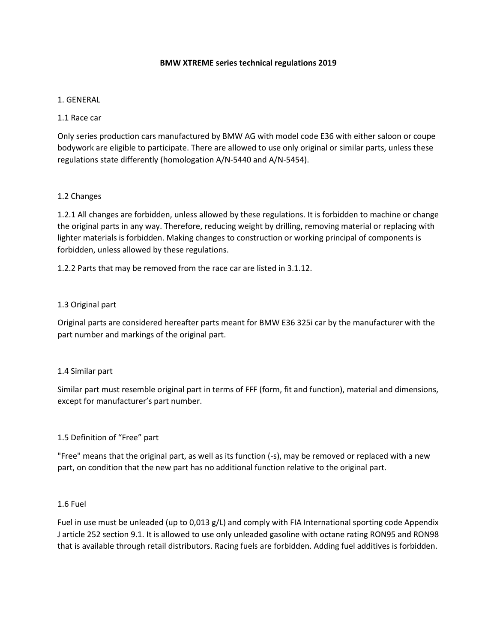#### **BMW XTREME series technical regulations 2019**

#### 1. GENERAL

#### 1.1 Race car

Only series production cars manufactured by BMW AG with model code E36 with either saloon or coupe bodywork are eligible to participate. There are allowed to use only original or similar parts, unless these regulations state differently (homologation A/N-5440 and A/N-5454).

#### 1.2 Changes

1.2.1 All changes are forbidden, unless allowed by these regulations. It is forbidden to machine or change the original parts in any way. Therefore, reducing weight by drilling, removing material or replacing with lighter materials is forbidden. Making changes to construction or working principal of components is forbidden, unless allowed by these regulations.

1.2.2 Parts that may be removed from the race car are listed in 3.1.12.

#### 1.3 Original part

Original parts are considered hereafter parts meant for BMW E36 325i car by the manufacturer with the part number and markings of the original part.

#### 1.4 Similar part

Similar part must resemble original part in terms of FFF (form, fit and function), material and dimensions, except for manufacturer's part number.

#### 1.5 Definition of "Free" part

"Free" means that the original part, as well as its function (-s), may be removed or replaced with a new part, on condition that the new part has no additional function relative to the original part.

#### 1.6 Fuel

Fuel in use must be unleaded (up to 0,013 g/L) and comply with FIA International sporting code Appendix J article 252 section 9.1. It is allowed to use only unleaded gasoline with octane rating RON95 and RON98 that is available through retail distributors. Racing fuels are forbidden. Adding fuel additives is forbidden.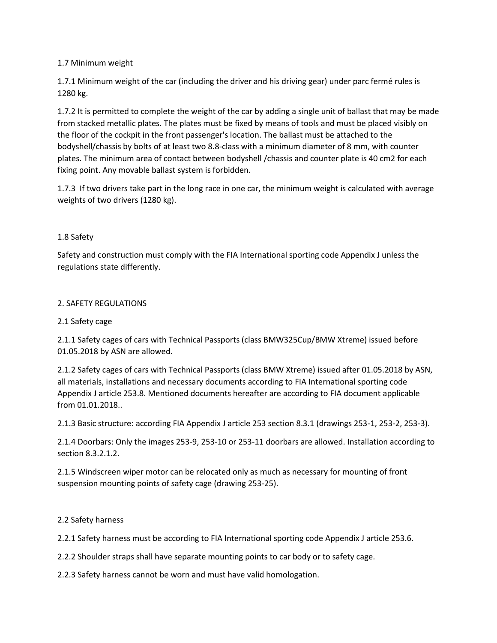# 1.7 Minimum weight

1.7.1 Minimum weight of the car (including the driver and his driving gear) under parc fermé rules is 1280 kg.

1.7.2 It is permitted to complete the weight of the car by adding a single unit of ballast that may be made from stacked metallic plates. The plates must be fixed by means of tools and must be placed visibly on the floor of the cockpit in the front passenger's location. The ballast must be attached to the bodyshell/chassis by bolts of at least two 8.8‐class with a minimum diameter of 8 mm, with counter plates. The minimum area of contact between bodyshell /chassis and counter plate is 40 cm2 for each fixing point. Any movable ballast system is forbidden.

1.7.3 If two drivers take part in the long race in one car, the minimum weight is calculated with average weights of two drivers (1280 kg).

# 1.8 Safety

Safety and construction must comply with the FIA International sporting code Appendix J unless the regulations state differently.

# 2. SAFETY REGULATIONS

# 2.1 Safety cage

2.1.1 Safety cages of cars with Technical Passports (class BMW325Cup/BMW Xtreme) issued before 01.05.2018 by ASN are allowed.

2.1.2 Safety cages of cars with Technical Passports (class BMW Xtreme) issued after 01.05.2018 by ASN, all materials, installations and necessary documents according to FIA International sporting code Appendix J article 253.8. Mentioned documents hereafter are according to FIA document applicable from 01.01.2018..

2.1.3 Basic structure: according FIA Appendix J article 253 section 8.3.1 (drawings 253-1, 253-2, 253-3).

2.1.4 Doorbars: Only the images 253-9, 253-10 or 253-11 doorbars are allowed. Installation according to section 8.3.2.1.2.

2.1.5 Windscreen wiper motor can be relocated only as much as necessary for mounting of front suspension mounting points of safety cage (drawing 253-25).

# 2.2 Safety harness

2.2.1 Safety harness must be according to FIA International sporting code Appendix J article 253.6.

2.2.2 Shoulder straps shall have separate mounting points to car body or to safety cage.

2.2.3 Safety harness cannot be worn and must have valid homologation.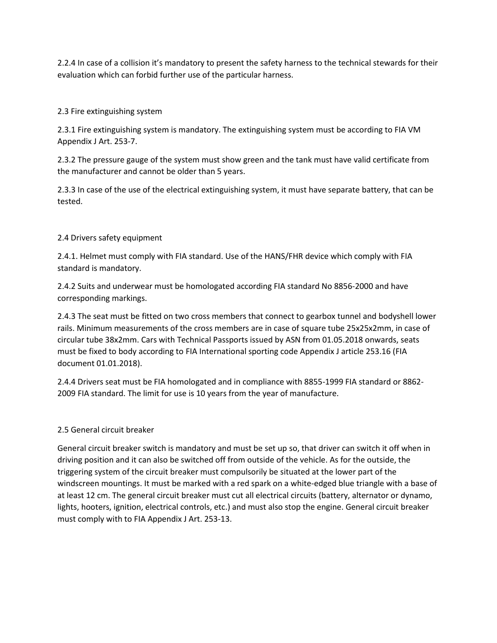2.2.4 In case of a collision it's mandatory to present the safety harness to the technical stewards for their evaluation which can forbid further use of the particular harness.

# 2.3 Fire extinguishing system

2.3.1 Fire extinguishing system is mandatory. The extinguishing system must be according to FIA VM Appendix J Art. 253-7.

2.3.2 The pressure gauge of the system must show green and the tank must have valid certificate from the manufacturer and cannot be older than 5 years.

2.3.3 In case of the use of the electrical extinguishing system, it must have separate battery, that can be tested.

# 2.4 Drivers safety equipment

2.4.1. Helmet must comply with FIA standard. Use of the HANS/FHR device which comply with FIA standard is mandatory.

2.4.2 Suits and underwear must be homologated according FIA standard No 8856-2000 and have corresponding markings.

2.4.3 The seat must be fitted on two cross members that connect to gearbox tunnel and bodyshell lower rails. Minimum measurements of the cross members are in case of square tube 25x25x2mm, in case of circular tube 38x2mm. Cars with Technical Passports issued by ASN from 01.05.2018 onwards, seats must be fixed to body according to FIA International sporting code Appendix J article 253.16 (FIA document 01.01.2018).

2.4.4 Drivers seat must be FIA homologated and in compliance with 8855-1999 FIA standard or 8862- 2009 FIA standard. The limit for use is 10 years from the year of manufacture.

# 2.5 General circuit breaker

General circuit breaker switch is mandatory and must be set up so, that driver can switch it off when in driving position and it can also be switched off from outside of the vehicle. As for the outside, the triggering system of the circuit breaker must compulsorily be situated at the lower part of the windscreen mountings. It must be marked with a red spark on a white-edged blue triangle with a base of at least 12 cm. The general circuit breaker must cut all electrical circuits (battery, alternator or dynamo, lights, hooters, ignition, electrical controls, etc.) and must also stop the engine. General circuit breaker must comply with to FIA Appendix J Art. 253-13.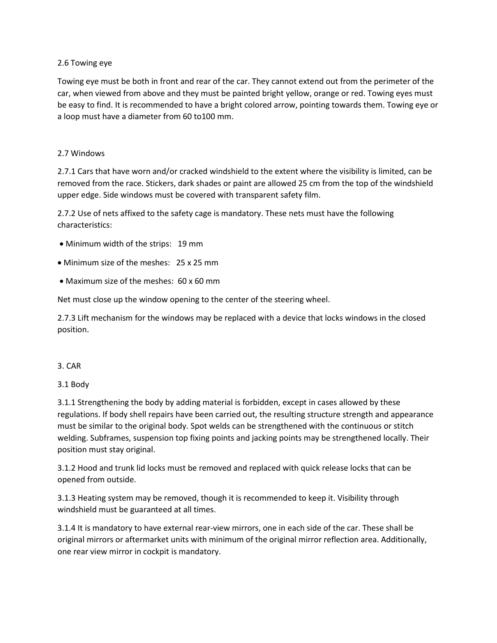### 2.6 Towing eye

Towing eye must be both in front and rear of the car. They cannot extend out from the perimeter of the car, when viewed from above and they must be painted bright yellow, orange or red. Towing eyes must be easy to find. It is recommended to have a bright colored arrow, pointing towards them. Towing eye or a loop must have a diameter from 60 to100 mm.

### 2.7 Windows

2.7.1 Cars that have worn and/or cracked windshield to the extent where the visibility is limited, can be removed from the race. Stickers, dark shades or paint are allowed 25 cm from the top of the windshield upper edge. Side windows must be covered with transparent safety film.

2.7.2 Use of nets affixed to the safety cage is mandatory. These nets must have the following characteristics:

- Minimum width of the strips: 19 mm
- Minimum size of the meshes: 25 x 25 mm
- Maximum size of the meshes: 60 x 60 mm

Net must close up the window opening to the center of the steering wheel.

2.7.3 Lift mechanism for the windows may be replaced with a device that locks windows in the closed position.

#### 3. CAR

#### 3.1 Body

3.1.1 Strengthening the body by adding material is forbidden, except in cases allowed by these regulations. If body shell repairs have been carried out, the resulting structure strength and appearance must be similar to the original body. Spot welds can be strengthened with the continuous or stitch welding. Subframes, suspension top fixing points and jacking points may be strengthened locally. Their position must stay original.

3.1.2 Hood and trunk lid locks must be removed and replaced with quick release locks that can be opened from outside.

3.1.3 Heating system may be removed, though it is recommended to keep it. Visibility through windshield must be guaranteed at all times.

3.1.4 It is mandatory to have external rear-view mirrors, one in each side of the car. These shall be original mirrors or aftermarket units with minimum of the original mirror reflection area. Additionally, one rear view mirror in cockpit is mandatory.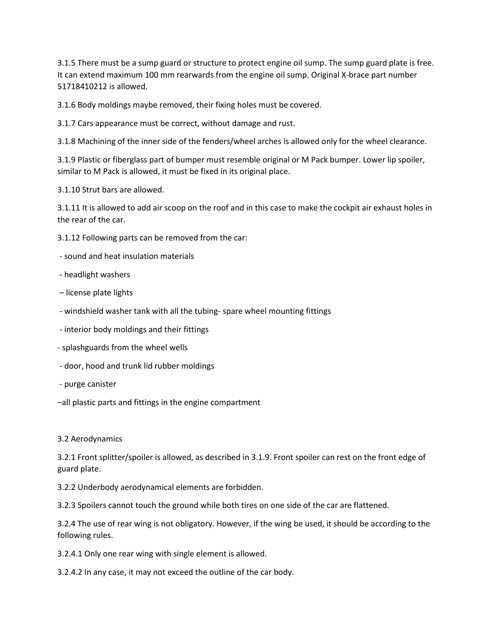3.1.5 There must be a sump guard or structure to protect engine oil sump. The sump guard plate is free. It can extend maximum 100 mm rearwards from the engine oil sump. Original X-brace part number 51718410212 is allowed.

3.1.6 Body moldings maybe removed, their fixing holes must be covered.

3.1.7 Cars appearance must be correct, without damage and rust.

3.1.8 Machining of the inner side of the fenders/wheel arches is allowed only for the wheel clearance.

3.1.9 Plastic or fiberglass part of bumper must resemble original or M Pack bumper. Lower lip spoiler, similar to M Pack is allowed, it must be fixed in its original place.

3.1.10 Strut bars are allowed.

3.1.11 It is allowed to add air scoop on the roof and in this case to make the cockpit air exhaust holes in the rear of the car.

3.1.12 Following parts can be removed from the car:

- sound and heat insulation materials
- headlight washers
- license plate lights
- windshield washer tank with all the tubing- spare wheel mounting fittings
- interior body moldings and their fittings
- splashguards from the wheel wells
- door, hood and trunk lid rubber moldings
- purge canister
- –all plastic parts and fittings in the engine compartment

#### 3.2 Aerodynamics

3.2.1 Front splitter/spoiler is allowed, as described in 3.1.9. Front spoiler can rest on the front edge of guard plate.

3.2.2 Underbody aerodynamical elements are forbidden.

3.2.3 Spoilers cannot touch the ground while both tires on one side of the car are flattened.

3.2.4 The use of rear wing is not obligatory. However, if the wing be used, it should be according to the following rules.

3.2.4.1 Only one rear wing with single element is allowed.

3.2.4.2 In any case, it may not exceed the outline of the car body.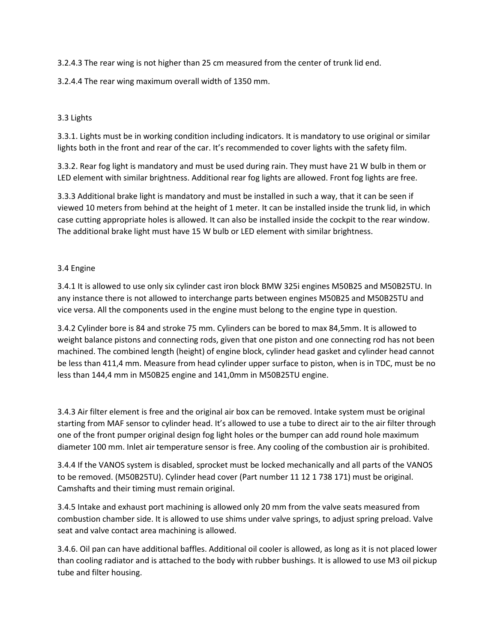3.2.4.3 The rear wing is not higher than 25 cm measured from the center of trunk lid end.

3.2.4.4 The rear wing maximum overall width of 1350 mm.

# 3.3 Lights

3.3.1. Lights must be in working condition including indicators. It is mandatory to use original or similar lights both in the front and rear of the car. It's recommended to cover lights with the safety film.

3.3.2. Rear fog light is mandatory and must be used during rain. They must have 21 W bulb in them or LED element with similar brightness. Additional rear fog lights are allowed. Front fog lights are free.

3.3.3 Additional brake light is mandatory and must be installed in such a way, that it can be seen if viewed 10 meters from behind at the height of 1 meter. It can be installed inside the trunk lid, in which case cutting appropriate holes is allowed. It can also be installed inside the cockpit to the rear window. The additional brake light must have 15 W bulb or LED element with similar brightness.

# 3.4 Engine

3.4.1 It is allowed to use only six cylinder cast iron block BMW 325i engines M50B25 and M50B25TU. In any instance there is not allowed to interchange parts between engines M50B25 and M50B25TU and vice versa. All the components used in the engine must belong to the engine type in question.

3.4.2 Cylinder bore is 84 and stroke 75 mm. Cylinders can be bored to max 84,5mm. It is allowed to weight balance pistons and connecting rods, given that one piston and one connecting rod has not been machined. The combined length (height) of engine block, cylinder head gasket and cylinder head cannot be less than 411,4 mm. Measure from head cylinder upper surface to piston, when is in TDC, must be no less than 144,4 mm in M50B25 engine and 141,0mm in M50B25TU engine.

3.4.3 Air filter element is free and the original air box can be removed. Intake system must be original starting from MAF sensor to cylinder head. It's allowed to use a tube to direct air to the air filter through one of the front pumper original design fog light holes or the bumper can add round hole maximum diameter 100 mm. Inlet air temperature sensor is free. Any cooling of the combustion air is prohibited.

3.4.4 If the VANOS system is disabled, sprocket must be locked mechanically and all parts of the VANOS to be removed. (M50B25TU). Cylinder head cover (Part number 11 12 1 738 171) must be original. Camshafts and their timing must remain original.

3.4.5 Intake and exhaust port machining is allowed only 20 mm from the valve seats measured from combustion chamber side. It is allowed to use shims under valve springs, to adjust spring preload. Valve seat and valve contact area machining is allowed.

3.4.6. Oil pan can have additional baffles. Additional oil cooler is allowed, as long as it is not placed lower than cooling radiator and is attached to the body with rubber bushings. It is allowed to use M3 oil pickup tube and filter housing.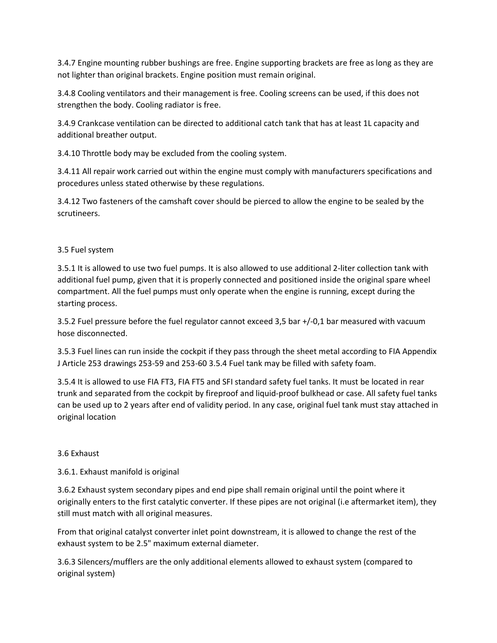3.4.7 Engine mounting rubber bushings are free. Engine supporting brackets are free as long as they are not lighter than original brackets. Engine position must remain original.

3.4.8 Cooling ventilators and their management is free. Cooling screens can be used, if this does not strengthen the body. Cooling radiator is free.

3.4.9 Crankcase ventilation can be directed to additional catch tank that has at least 1L capacity and additional breather output.

3.4.10 Throttle body may be excluded from the cooling system.

3.4.11 All repair work carried out within the engine must comply with manufacturers specifications and procedures unless stated otherwise by these regulations.

3.4.12 Two fasteners of the camshaft cover should be pierced to allow the engine to be sealed by the scrutineers.

# 3.5 Fuel system

3.5.1 It is allowed to use two fuel pumps. It is also allowed to use additional 2-liter collection tank with additional fuel pump, given that it is properly connected and positioned inside the original spare wheel compartment. All the fuel pumps must only operate when the engine is running, except during the starting process.

3.5.2 Fuel pressure before the fuel regulator cannot exceed 3,5 bar +/-0,1 bar measured with vacuum hose disconnected.

3.5.3 Fuel lines can run inside the cockpit if they pass through the sheet metal according to FIA Appendix J Article 253 drawings 253-59 and 253-60 3.5.4 Fuel tank may be filled with safety foam.

3.5.4 It is allowed to use FIA FT3, FIA FT5 and SFI standard safety fuel tanks. It must be located in rear trunk and separated from the cockpit by fireproof and liquid-proof bulkhead or case. All safety fuel tanks can be used up to 2 years after end of validity period. In any case, original fuel tank must stay attached in original location

# 3.6 Exhaust

3.6.1. Exhaust manifold is original

3.6.2 Exhaust system secondary pipes and end pipe shall remain original until the point where it originally enters to the first catalytic converter. If these pipes are not original (i.e aftermarket item), they still must match with all original measures.

From that original catalyst converter inlet point downstream, it is allowed to change the rest of the exhaust system to be 2.5" maximum external diameter.

3.6.3 Silencers/mufflers are the only additional elements allowed to exhaust system (compared to original system)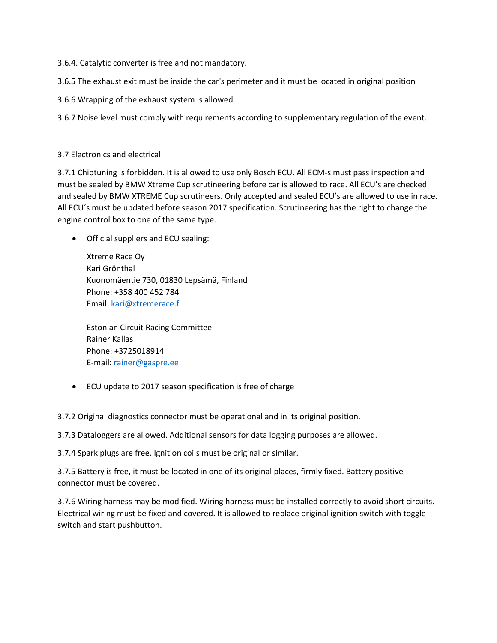3.6.4. Catalytic converter is free and not mandatory.

3.6.5 The exhaust exit must be inside the car's perimeter and it must be located in original position

3.6.6 Wrapping of the exhaust system is allowed.

3.6.7 Noise level must comply with requirements according to supplementary regulation of the event.

#### 3.7 Electronics and electrical

3.7.1 Chiptuning is forbidden. It is allowed to use only Bosch ECU. All ECM-s must pass inspection and must be sealed by BMW Xtreme Cup scrutineering before car is allowed to race. All ECU's are checked and sealed by BMW XTREME Cup scrutineers. Only accepted and sealed ECU's are allowed to use in race. All ECU´s must be updated before season 2017 specification. Scrutineering has the right to change the engine control box to one of the same type.

• Official suppliers and ECU sealing:

Xtreme Race Oy Kari Grönthal Kuonomäentie 730, 01830 Lepsämä, Finland Phone: +358 400 452 784 Email: [kari@xtremerace.fi](mailto:kari@xtremerace.fi)

Estonian Circuit Racing Committee Rainer Kallas Phone: +3725018914 E-mail: [rainer@gaspre.ee](mailto:rainer@gaspre.ee)

• ECU update to 2017 season specification is free of charge

3.7.2 Original diagnostics connector must be operational and in its original position.

3.7.3 Dataloggers are allowed. Additional sensors for data logging purposes are allowed.

3.7.4 Spark plugs are free. Ignition coils must be original or similar.

3.7.5 Battery is free, it must be located in one of its original places, firmly fixed. Battery positive connector must be covered.

3.7.6 Wiring harness may be modified. Wiring harness must be installed correctly to avoid short circuits. Electrical wiring must be fixed and covered. It is allowed to replace original ignition switch with toggle switch and start pushbutton.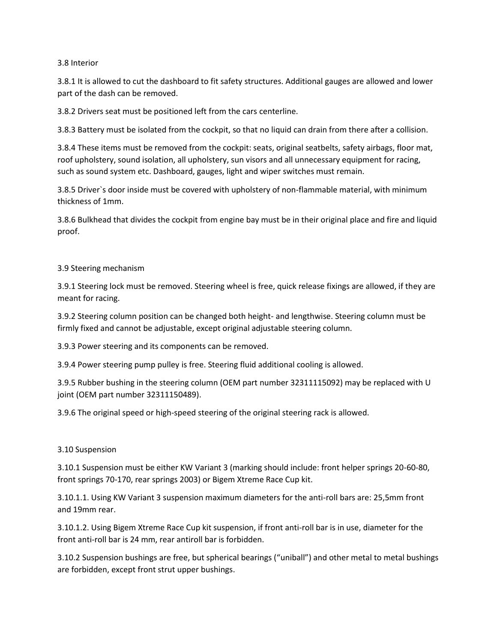#### 3.8 Interior

3.8.1 It is allowed to cut the dashboard to fit safety structures. Additional gauges are allowed and lower part of the dash can be removed.

3.8.2 Drivers seat must be positioned left from the cars centerline.

3.8.3 Battery must be isolated from the cockpit, so that no liquid can drain from there after a collision.

3.8.4 These items must be removed from the cockpit: seats, original seatbelts, safety airbags, floor mat, roof upholstery, sound isolation, all upholstery, sun visors and all unnecessary equipment for racing, such as sound system etc. Dashboard, gauges, light and wiper switches must remain.

3.8.5 Driver`s door inside must be covered with upholstery of non-flammable material, with minimum thickness of 1mm.

3.8.6 Bulkhead that divides the cockpit from engine bay must be in their original place and fire and liquid proof.

#### 3.9 Steering mechanism

3.9.1 Steering lock must be removed. Steering wheel is free, quick release fixings are allowed, if they are meant for racing.

3.9.2 Steering column position can be changed both height- and lengthwise. Steering column must be firmly fixed and cannot be adjustable, except original adjustable steering column.

3.9.3 Power steering and its components can be removed.

3.9.4 Power steering pump pulley is free. Steering fluid additional cooling is allowed.

3.9.5 Rubber bushing in the steering column (OEM part number 32311115092) may be replaced with U joint (OEM part number 32311150489).

3.9.6 The original speed or high-speed steering of the original steering rack is allowed.

#### 3.10 Suspension

3.10.1 Suspension must be either KW Variant 3 (marking should include: front helper springs 20-60-80, front springs 70-170, rear springs 2003) or Bigem Xtreme Race Cup kit.

3.10.1.1. Using KW Variant 3 suspension maximum diameters for the anti-roll bars are: 25,5mm front and 19mm rear.

3.10.1.2. Using Bigem Xtreme Race Cup kit suspension, if front anti-roll bar is in use, diameter for the front anti-roll bar is 24 mm, rear antiroll bar is forbidden.

3.10.2 Suspension bushings are free, but spherical bearings ("uniball") and other metal to metal bushings are forbidden, except front strut upper bushings.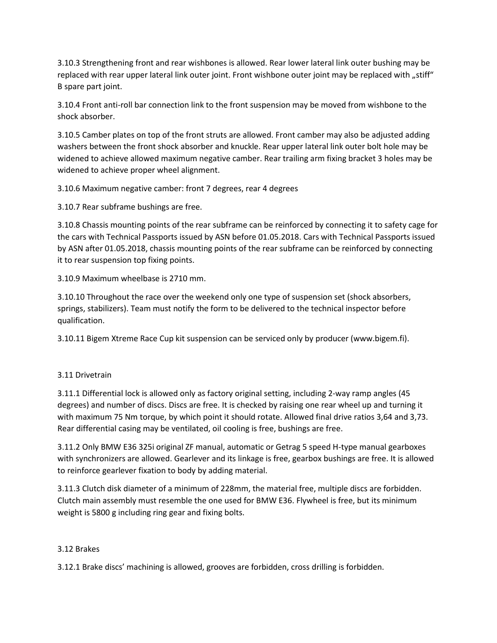3.10.3 Strengthening front and rear wishbones is allowed. Rear lower lateral link outer bushing may be replaced with rear upper lateral link outer joint. Front wishbone outer joint may be replaced with "stiff" B spare part joint.

3.10.4 Front anti-roll bar connection link to the front suspension may be moved from wishbone to the shock absorber.

3.10.5 Camber plates on top of the front struts are allowed. Front camber may also be adjusted adding washers between the front shock absorber and knuckle. Rear upper lateral link outer bolt hole may be widened to achieve allowed maximum negative camber. Rear trailing arm fixing bracket 3 holes may be widened to achieve proper wheel alignment.

3.10.6 Maximum negative camber: front 7 degrees, rear 4 degrees

3.10.7 Rear subframe bushings are free.

3.10.8 Chassis mounting points of the rear subframe can be reinforced by connecting it to safety cage for the cars with Technical Passports issued by ASN before 01.05.2018. Cars with Technical Passports issued by ASN after 01.05.2018, chassis mounting points of the rear subframe can be reinforced by connecting it to rear suspension top fixing points.

3.10.9 Maximum wheelbase is 2710 mm.

3.10.10 Throughout the race over the weekend only one type of suspension set (shock absorbers, springs, stabilizers). Team must notify the form to be delivered to the technical inspector before qualification.

3.10.11 Bigem Xtreme Race Cup kit suspension can be serviced only by producer (www.bigem.fi).

# 3.11 Drivetrain

3.11.1 Differential lock is allowed only as factory original setting, including 2-way ramp angles (45 degrees) and number of discs. Discs are free. It is checked by raising one rear wheel up and turning it with maximum 75 Nm torque, by which point it should rotate. Allowed final drive ratios 3,64 and 3,73. Rear differential casing may be ventilated, oil cooling is free, bushings are free.

3.11.2 Only BMW E36 325i original ZF manual, automatic or Getrag 5 speed H-type manual gearboxes with synchronizers are allowed. Gearlever and its linkage is free, gearbox bushings are free. It is allowed to reinforce gearlever fixation to body by adding material.

3.11.3 Clutch disk diameter of a minimum of 228mm, the material free, multiple discs are forbidden. Clutch main assembly must resemble the one used for BMW E36. Flywheel is free, but its minimum weight is 5800 g including ring gear and fixing bolts.

#### 3.12 Brakes

3.12.1 Brake discs' machining is allowed, grooves are forbidden, cross drilling is forbidden.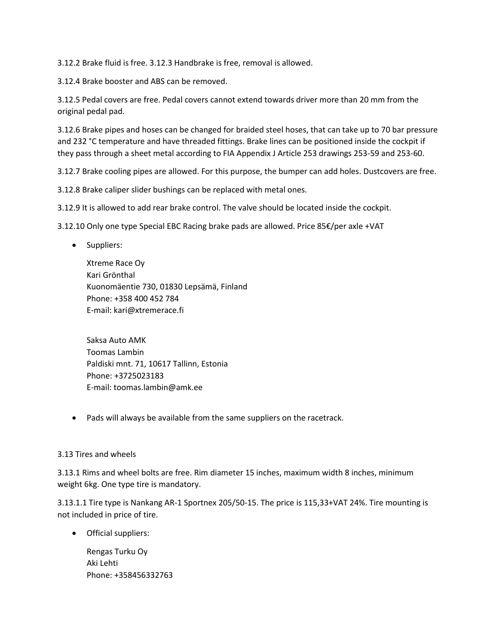3.12.2 Brake fluid is free. 3.12.3 Handbrake is free, removal is allowed.

3.12.4 Brake booster and ABS can be removed.

3.12.5 Pedal covers are free. Pedal covers cannot extend towards driver more than 20 mm from the original pedal pad.

3.12.6 Brake pipes and hoses can be changed for braided steel hoses, that can take up to 70 bar pressure and 232 °C temperature and have threaded fittings. Brake lines can be positioned inside the cockpit if they pass through a sheet metal according to FIA Appendix J Article 253 drawings 253-59 and 253-60.

3.12.7 Brake cooling pipes are allowed. For this purpose, the bumper can add holes. Dustcovers are free.

3.12.8 Brake caliper slider bushings can be replaced with metal ones.

3.12.9 It is allowed to add rear brake control. The valve should be located inside the cockpit.

3.12.10 Only one type Special EBC Racing brake pads are allowed. Price 85€/per axle +VAT

• Suppliers:

Xtreme Race Oy Kari Grönthal Kuonomäentie 730, 01830 Lepsämä, Finland Phone: +358 400 452 784 E-mail: kari@xtremerace.fi

Saksa Auto AMK Toomas Lambin Paldiski mnt. 71, 10617 Tallinn, Estonia Phone: +3725023183 E-mail: toomas.lambin@amk.ee

• Pads will always be available from the same suppliers on the racetrack.

#### 3.13 Tires and wheels

3.13.1 Rims and wheel bolts are free. Rim diameter 15 inches, maximum width 8 inches, minimum weight 6kg. One type tire is mandatory.

3.13.1.1 Tire type is Nankang AR-1 Sportnex 205/50-15. The price is 115,33+VAT 24%. Tire mounting is not included in price of tire.

• Official suppliers:

Rengas Turku Oy Aki Lehti Phone: +358456332763